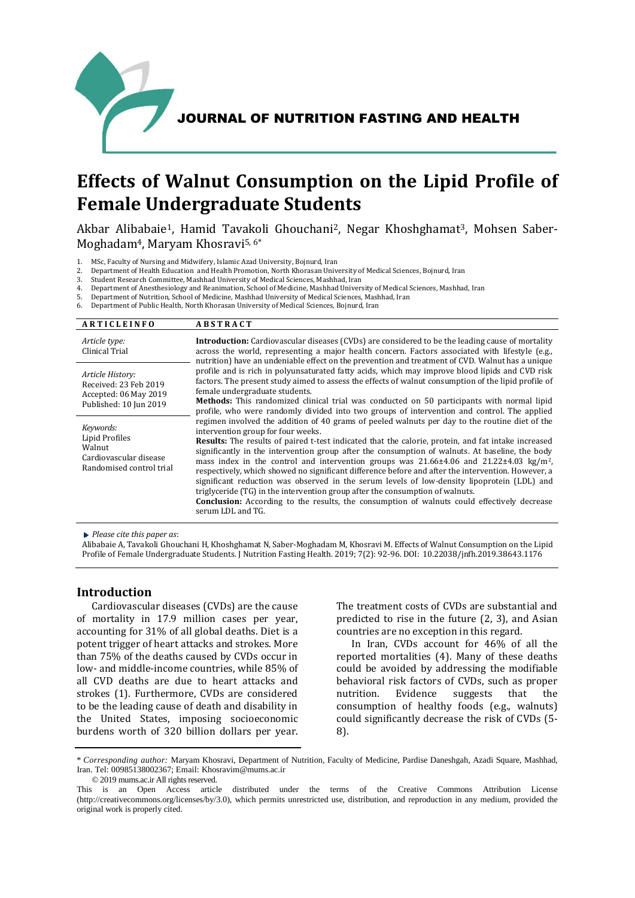

# **Effects of Walnut Consumption on the Lipid Profile of Female Undergraduate Students**

Akbar Alibabaie<sup>1</sup>, Hamid Tavakoli Ghouchani<sup>2</sup>, Negar Khoshghamat<sup>3</sup>, Mohsen Saber-Moghadam4, Maryam Khosravi5, 6\*

1. MSc, Faculty of Nursing and Midwifery, Islamic Azad University, Bojnurd, Iran

- 2. Department of Health Education and Health Promotion, North Khorasan University of Medical Sciences, Bojnurd, Iran
- 3. Student Research Committee, Mashhad University of Medical Sciences, Mashhad, Iran
- 4. Department of Anesthesiology and Reanimation, School of Medicine, Mashhad University of Medical Sciences, Mashhad, Iran
- 5. Department of Nutrition, School of Medicine, Mashhad University of Medical Sciences, Mashhad, Iran
- 6. Department of Public Health, North Khorasan University of Medical Sciences, Bojnurd, Iran

| <b>ARTICLEINFO</b>                                                                          | <b>ABSTRACT</b>                                                                                                                                                                                                                                                                                                                                                                                                                                                                                                                                                                                                                                                                                                                                                                                                                                                                       |
|---------------------------------------------------------------------------------------------|---------------------------------------------------------------------------------------------------------------------------------------------------------------------------------------------------------------------------------------------------------------------------------------------------------------------------------------------------------------------------------------------------------------------------------------------------------------------------------------------------------------------------------------------------------------------------------------------------------------------------------------------------------------------------------------------------------------------------------------------------------------------------------------------------------------------------------------------------------------------------------------|
| Article type:<br>Clinical Trial                                                             | <b>Introduction:</b> Cardiovascular diseases (CVDs) are considered to be the leading cause of mortality<br>across the world, representing a major health concern. Factors associated with lifestyle (e.g.,<br>nutrition) have an undeniable effect on the prevention and treatment of CVD. Walnut has a unique                                                                                                                                                                                                                                                                                                                                                                                                                                                                                                                                                                        |
| Article History:<br>Received: 23 Feb 2019<br>Accepted: 06 May 2019                          | profile and is rich in polyunsaturated fatty acids, which may improve blood lipids and CVD risk<br>factors. The present study aimed to assess the effects of walnut consumption of the lipid profile of<br>female undergraduate students.                                                                                                                                                                                                                                                                                                                                                                                                                                                                                                                                                                                                                                             |
| Published: 10 Jun 2019                                                                      | <b>Methods:</b> This randomized clinical trial was conducted on 50 participants with normal lipid<br>profile, who were randomly divided into two groups of intervention and control. The applied                                                                                                                                                                                                                                                                                                                                                                                                                                                                                                                                                                                                                                                                                      |
| Keywords:<br>Lipid Profiles<br>Walnut<br>Cardiovascular disease<br>Randomised control trial | regimen involved the addition of 40 grams of peeled walnuts per day to the routine diet of the<br>intervention group for four weeks.<br><b>Results:</b> The results of paired t-test indicated that the calorie, protein, and fat intake increased<br>significantly in the intervention group after the consumption of walnuts. At baseline, the body<br>mass index in the control and intervention groups was $21.66\pm4.06$ and $21.22\pm4.03$ kg/m <sup>2</sup> ,<br>respectively, which showed no significant difference before and after the intervention. However, a<br>significant reduction was observed in the serum levels of low-density lipoprotein (LDL) and<br>triglyceride (TG) in the intervention group after the consumption of walnuts.<br><b>Conclusion:</b> According to the results, the consumption of walnuts could effectively decrease<br>serum LDL and TG. |

*Please cite this paper as*:

Alibabaie A, Tavakoli Ghouchani H, Khoshghamat N, Saber-Moghadam M, Khosravi M. Effects of Walnut Consumption on the Lipid Profile of Female Undergraduate Students. J Nutrition Fasting Health. 2019; 7(2): 92-96. DOI: 10.22038/jnfh.2019.38643.1176

## **Introduction**

Cardiovascular diseases (CVDs) are the cause of mortality in 17.9 million cases per year, accounting for 31% of all global deaths. Diet is a potent trigger of heart attacks and strokes. More than 75% of the deaths caused by CVDs occur in low- and middle-income countries, while 85% of all CVD deaths are due to heart attacks and strokes (1). Furthermore, CVDs are considered to be the leading cause of death and disability in the United States, imposing socioeconomic burdens worth of 320 billion dollars per year. The treatment costs of CVDs are substantial and predicted to rise in the future (2, 3), and Asian countries are no exception in this regard.

In Iran, CVDs account for 46% of all the reported mortalities (4). Many of these deaths could be avoided by addressing the modifiable behavioral risk factors of CVDs, such as proper nutrition. Evidence suggests that the consumption of healthy foods (e.g., walnuts) could significantly decrease the risk of CVDs (5- 8).

<sup>\*</sup> *Corresponding author:* Maryam Khosravi, Department of Nutrition, Faculty of Medicine, Pardise Daneshgah, Azadi Square, Mashhad, Iran. Tel: 00985138002367; Email: Khosravim@mums.ac.ir

<sup>© 2019</sup> mums.ac.ir All rights reserved.

This is an Open Access article distributed under the terms of the Creative Commons Attribution License (http://creativecommons.org/licenses/by/3.0), which permits unrestricted use, distribution, and reproduction in any medium, provided the original work is properly cited.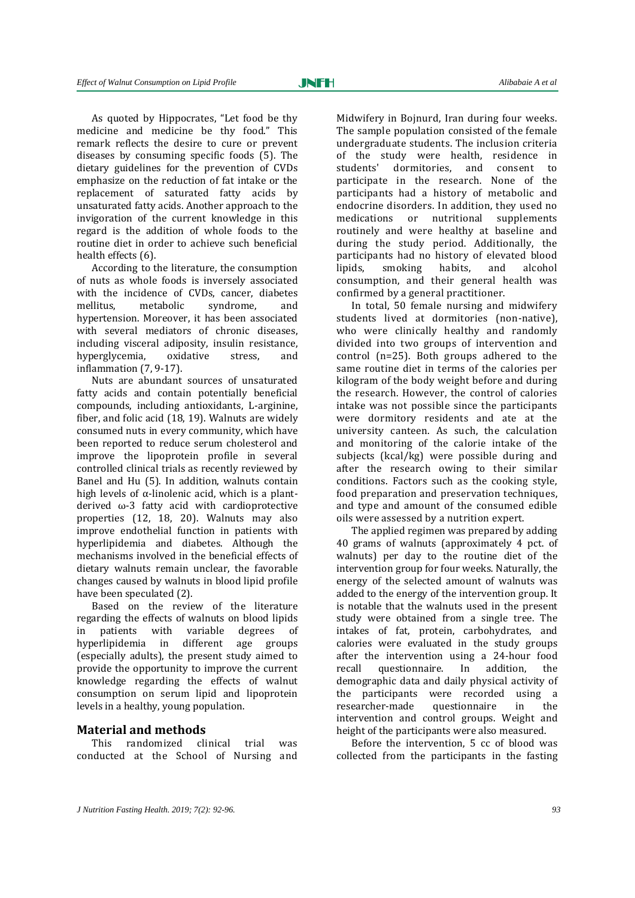As quoted by Hippocrates, "Let food be thy medicine and medicine be thy food." This remark reflects the desire to cure or prevent diseases by consuming specific foods (5). The dietary guidelines for the prevention of CVDs emphasize on the reduction of fat intake or the replacement of saturated fatty acids by unsaturated fatty acids. Another approach to the invigoration of the current knowledge in this regard is the addition of whole foods to the routine diet in order to achieve such beneficial health effects (6).

According to the literature, the consumption of nuts as whole foods is inversely associated with the incidence of CVDs, cancer, diabetes mellitus, metabolic syndrome, and hypertension. Moreover, it has been associated with several mediators of chronic diseases, including visceral adiposity, insulin resistance, hyperglycemia, oxidative stress, and inflammation (7, 9-17).

Nuts are abundant sources of unsaturated fatty acids and contain potentially beneficial compounds, including antioxidants, L-arginine, fiber, and folic acid (18, 19). Walnuts are widely consumed nuts in every community, which have been reported to reduce serum cholesterol and improve the lipoprotein profile in several controlled clinical trials as recently reviewed by Banel and Hu (5). In addition, walnuts contain high levels of  $\alpha$ -linolenic acid, which is a plantderived ω-3 fatty acid with cardioprotective properties (12, 18, 20). Walnuts may also improve endothelial function in patients with hyperlipidemia and diabetes. Although the mechanisms involved in the beneficial effects of dietary walnuts remain unclear, the favorable changes caused by walnuts in blood lipid profile have been speculated (2).

Based on the review of the literature regarding the effects of walnuts on blood lipids in patients with variable degrees of hyperlipidemia in different age groups (especially adults), the present study aimed to provide the opportunity to improve the current knowledge regarding the effects of walnut consumption on serum lipid and lipoprotein levels in a healthy, young population.

#### **Material and methods**

This randomized clinical trial was conducted at the School of Nursing and Midwifery in Bojnurd, Iran during four weeks. The sample population consisted of the female undergraduate students. The inclusion criteria of the study were health, residence in students' dormitories, and consent to participate in the research. None of the participants had a history of metabolic and endocrine disorders. In addition, they used no medications or nutritional supplements routinely and were healthy at baseline and during the study period. Additionally, the participants had no history of elevated blood lipids, smoking habits, and alcohol consumption, and their general health was confirmed by a general practitioner.

In total, 50 female nursing and midwifery students lived at dormitories (non-native), who were clinically healthy and randomly divided into two groups of intervention and control (n=25). Both groups adhered to the same routine diet in terms of the calories per kilogram of the body weight before and during the research. However, the control of calories intake was not possible since the participants were dormitory residents and ate at the university canteen. As such, the calculation and monitoring of the calorie intake of the subjects (kcal/kg) were possible during and after the research owing to their similar conditions. Factors such as the cooking style, food preparation and preservation techniques, and type and amount of the consumed edible oils were assessed by a nutrition expert.

The applied regimen was prepared by adding 40 grams of walnuts (approximately 4 pct. of walnuts) per day to the routine diet of the intervention group for four weeks. Naturally, the energy of the selected amount of walnuts was added to the energy of the intervention group. It is notable that the walnuts used in the present study were obtained from a single tree. The intakes of fat, protein, carbohydrates, and calories were evaluated in the study groups after the intervention using a 24-hour food recall questionnaire. In addition, the demographic data and daily physical activity of the participants were recorded using a researcher-made questionnaire in the intervention and control groups. Weight and height of the participants were also measured.

Before the intervention, 5 cc of blood was collected from the participants in the fasting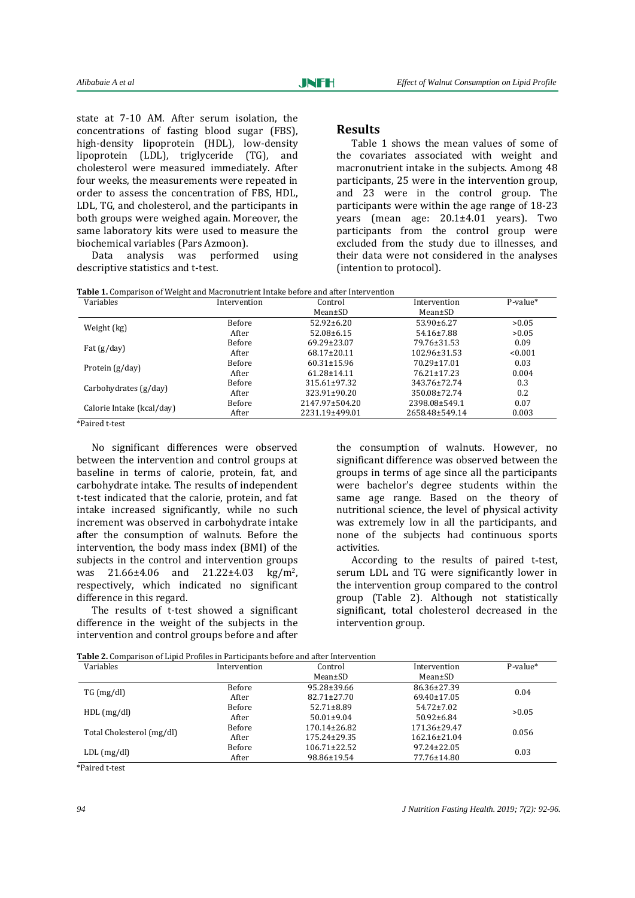state at 7-10 AM. After serum isolation, the concentrations of fasting blood sugar (FBS), high-density lipoprotein (HDL), low-density lipoprotein (LDL), triglyceride (TG), and cholesterol were measured immediately. After four weeks, the measurements were repeated in order to assess the concentration of FBS, HDL, LDL, TG, and cholesterol, and the participants in both groups were weighed again. Moreover, the same laboratory kits were used to measure the biochemical variables (Pars Azmoon).

Data analysis was performed using descriptive statistics and t-test.

## **Results**

Table 1 shows the mean values of some of the covariates associated with weight and macronutrient intake in the subjects. Among 48 participants, 25 were in the intervention group, and 23 were in the control group. The participants were within the age range of 18-23 years (mean age: 20.1±4.01 years). Two participants from the control group were excluded from the study due to illnesses, and their data were not considered in the analyses (intention to protocol).

| <b>Table 1.</b> Comparison of Weight and Macronutrient Intake before and after Intervention |  |
|---------------------------------------------------------------------------------------------|--|
|---------------------------------------------------------------------------------------------|--|

| Variables                 | Intervention | Control            | Intervention     | $P-value*$ |
|---------------------------|--------------|--------------------|------------------|------------|
|                           |              | Mean±SD            | Mean±SD          |            |
| Weight (kg)               | Before       | $52.92 \pm 6.20$   | $53.90 \pm 6.27$ | >0.05      |
|                           | After        | $52.08 \pm 6.15$   | $54.16 \pm 7.88$ | >0.05      |
|                           | Before       | 69.29±23.07        | 79.76±31.53      | 0.09       |
| Fat $(g/day)$             | After        | $68.17 \pm 20.11$  | 102.96±31.53     | < 0.001    |
| Protein (g/day)           | Before       | $60.31 \pm 15.96$  | 70.29±17.01      | 0.03       |
|                           | After        | $61.28 \pm 14.11$  | 76.21+17.23      | 0.004      |
| Carbohydrates (g/day)     | Before       | $315.61 \pm 97.32$ | 343.76±72.74     | 0.3        |
|                           | After        | 323.91±90.20       | 350.08±72.74     | 0.2        |
| Calorie Intake (kcal/day) | Before       | 2147.97±504.20     | 2398.08±549.1    | 0.07       |
|                           | After        | 2231.19±499.01     | 2658.48±549.14   | 0.003      |

\*Paired t-test

No significant differences were observed between the intervention and control groups at baseline in terms of calorie, protein, fat, and carbohydrate intake. The results of independent t-test indicated that the calorie, protein, and fat intake increased significantly, while no such increment was observed in carbohydrate intake after the consumption of walnuts. Before the intervention, the body mass index (BMI) of the subjects in the control and intervention groups was 21.66±4.06 and 21.22±4.03 kg/m<sup>2</sup>, respectively, which indicated no significant difference in this regard.

The results of t-test showed a significant difference in the weight of the subjects in the intervention and control groups before and after

the consumption of walnuts. However, no significant difference was observed between the groups in terms of age since all the participants were bachelor's degree students within the same age range. Based on the theory of nutritional science, the level of physical activity was extremely low in all the participants, and none of the subjects had continuous sports activities.

According to the results of paired t-test, serum LDL and TG were significantly lower in the intervention group compared to the control group (Table 2). Although not statistically significant, total cholesterol decreased in the intervention group.

| <b>Table 2.</b> Comparison of Lipid Profiles in Participants before and after Intervention |
|--------------------------------------------------------------------------------------------|
|--------------------------------------------------------------------------------------------|

| Variables                 | Intervention | Control            | Intervention       | $P-value*$ |
|---------------------------|--------------|--------------------|--------------------|------------|
|                           |              | Mean±SD            | Mean±SD            |            |
| TG (mg/dl)                | Before       | 95.28±39.66        | 86.36±27.39        | 0.04       |
|                           | After        | $82.71 \pm 27.70$  | $69.40 \pm 17.05$  |            |
| HDL(mg/dl)                | Before       | $52.71 \pm 8.89$   | $54.72 \pm 7.02$   | >0.05      |
|                           | After        | $50.01 \pm 9.04$   | $50.92 \pm 6.84$   |            |
| Total Cholesterol (mg/dl) | Before       | $170.14 \pm 26.82$ | 171.36±29.47       | 0.056      |
|                           | After        | 175.24±29.35       | $162.16 \pm 21.04$ |            |
| $LDL$ (mg/dl)             | Before       | $106.71 \pm 22.52$ | $97.24 \pm 22.05$  | 0.03       |
|                           | After        | 98.86±19.54        | 77.76±14.80        |            |

\*Paired t-test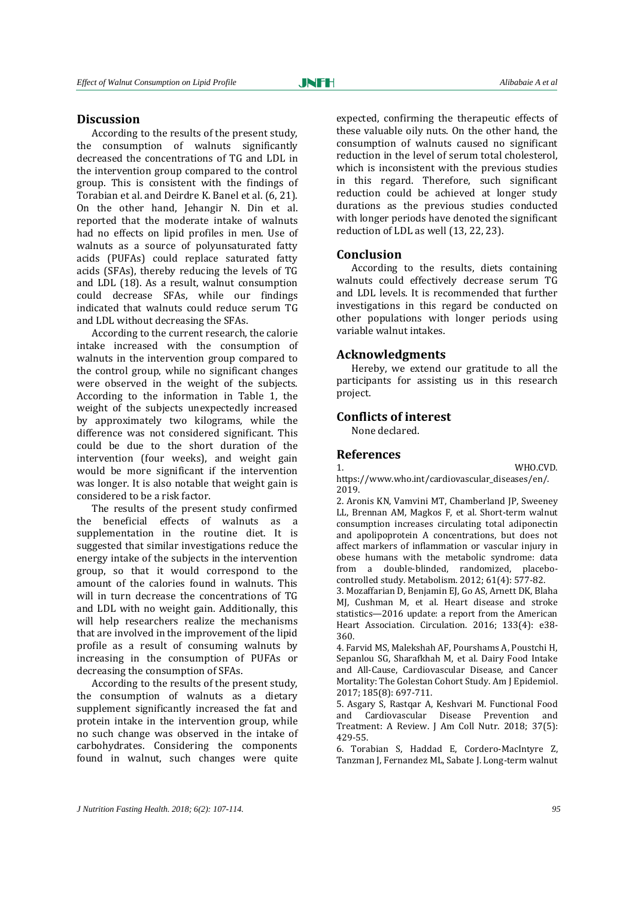#### **Discussion**

According to the results of the present study, the consumption of walnuts significantly decreased the concentrations of TG and LDL in the intervention group compared to the control group. This is consistent with the findings of Torabian et al. and Deirdre K. Banel et al. (6, 21). On the other hand, Jehangir N. Din et al. reported that the moderate intake of walnuts had no effects on lipid profiles in men. Use of walnuts as a source of polyunsaturated fatty acids (PUFAs) could replace saturated fatty acids (SFAs), thereby reducing the levels of TG and LDL (18). As a result, walnut consumption could decrease SFAs, while our findings indicated that walnuts could reduce serum TG and LDL without decreasing the SFAs.

According to the current research, the calorie intake increased with the consumption of walnuts in the intervention group compared to the control group, while no significant changes were observed in the weight of the subjects. According to the information in Table 1, the weight of the subjects unexpectedly increased by approximately two kilograms, while the difference was not considered significant. This could be due to the short duration of the intervention (four weeks), and weight gain would be more significant if the intervention was longer. It is also notable that weight gain is considered to be a risk factor.

The results of the present study confirmed the beneficial effects of walnuts as a supplementation in the routine diet. It is suggested that similar investigations reduce the energy intake of the subjects in the intervention group, so that it would correspond to the amount of the calories found in walnuts. This will in turn decrease the concentrations of TG and LDL with no weight gain. Additionally, this will help researchers realize the mechanisms that are involved in the improvement of the lipid profile as a result of consuming walnuts by increasing in the consumption of PUFAs or decreasing the consumption of SFAs.

According to the results of the present study, the consumption of walnuts as a dietary supplement significantly increased the fat and protein intake in the intervention group, while no such change was observed in the intake of carbohydrates. Considering the components found in walnut, such changes were quite

expected, confirming the therapeutic effects of these valuable oily nuts. On the other hand, the consumption of walnuts caused no significant reduction in the level of serum total cholesterol, which is inconsistent with the previous studies in this regard. Therefore, such significant reduction could be achieved at longer study durations as the previous studies conducted with longer periods have denoted the significant reduction of LDL as well (13, 22, 23).

## **Conclusion**

According to the results, diets containing walnuts could effectively decrease serum TG and LDL levels. It is recommended that further investigations in this regard be conducted on other populations with longer periods using variable walnut intakes.

#### **Acknowledgments**

Hereby, we extend our gratitude to all the participants for assisting us in this research project.

## **Conflicts of interest**

None declared.

#### **References**

1. WHO.CVD. https://www.who.int/cardiovascular\_diseases/en/. 2019.

2. Aronis KN, Vamvini MT, Chamberland JP, Sweeney LL, Brennan AM, Magkos F, et al. Short-term walnut consumption increases circulating total adiponectin and apolipoprotein A concentrations, but does not affect markers of inflammation or vascular injury in obese humans with the metabolic syndrome: data from a double-blinded, randomized, placebocontrolled study. Metabolism. 2012; 61(4): 577-82.

3. Mozaffarian D, Benjamin EJ, Go AS, Arnett DK, Blaha MJ, Cushman M, et al. Heart disease and stroke statistics—2016 update: a report from the American Heart Association. Circulation. 2016; 133(4): e38- 360.

4. Farvid MS, Malekshah AF, Pourshams A, Poustchi H, Sepanlou SG, Sharafkhah M, et al. Dairy Food Intake and All-Cause, Cardiovascular Disease, and Cancer Mortality: The Golestan Cohort Study. Am J Epidemiol. 2017; 185(8): 697-711.

5. Asgary S, Rastqar A, Keshvari M. Functional Food and Cardiovascular Disease Prevention and Treatment: A Review. J Am Coll Nutr. 2018; 37(5): 429-55.

6. Torabian S, Haddad E, Cordero-MacIntyre Z, Tanzman J, Fernandez ML, Sabate J. Long-term walnut